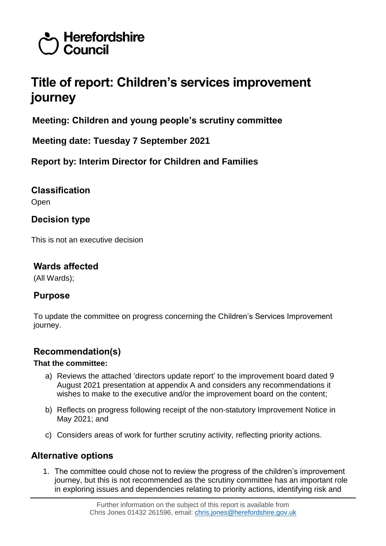# Herefordshire  $\overline{\prime}$  Council

# **Title of report: Children's services improvement journey**

**Meeting: Children and young people's scrutiny committee**

**Meeting date: Tuesday 7 September 2021**

**Report by: Interim Director for Children and Families**

**Classification** Open

# **Decision type**

This is not an executive decision

# **Wards affected**

(All Wards);

# **Purpose**

To update the committee on progress concerning the Children's Services Improvement journey.

# **Recommendation(s)**

#### **That the committee:**

- a) Reviews the attached 'directors update report' to the improvement board dated 9 August 2021 presentation at appendix A and considers any recommendations it wishes to make to the executive and/or the improvement board on the content;
- b) Reflects on progress following receipt of the non-statutory Improvement Notice in May 2021; and
- c) Considers areas of work for further scrutiny activity, reflecting priority actions.

# **Alternative options**

1. The committee could chose not to review the progress of the children's improvement journey, but this is not recommended as the scrutiny committee has an important role in exploring issues and dependencies relating to priority actions, identifying risk and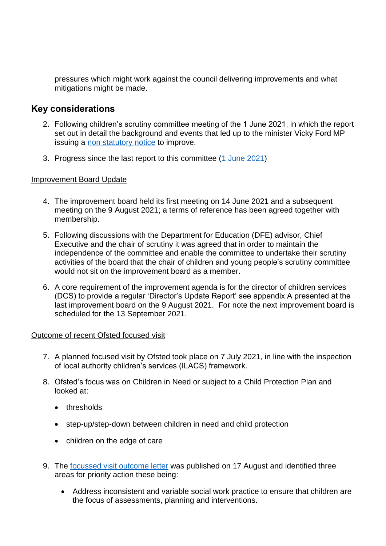pressures which might work against the council delivering improvements and what mitigations might be made.

## **Key considerations**

- 2. Following children's scrutiny committee meeting of the 1 June 2021, in which the report set out in detail the background and events that led up to the minister Vicky Ford MP issuing a [non statutory notice](https://www.gov.uk/government/publications/improvement-notice-issued-to-herefordshire-county-council) to improve.
- 3. Progress since the last report to this committee [\(1 June 2021\)](http://hc-modgov:9070/ieListDocuments.aspx?CId=954&MID=8183)

#### Improvement Board Update

- 4. The improvement board held its first meeting on 14 June 2021 and a subsequent meeting on the 9 August 2021; a terms of reference has been agreed together with membership.
- 5. Following discussions with the Department for Education (DFE) advisor, Chief Executive and the chair of scrutiny it was agreed that in order to maintain the independence of the committee and enable the committee to undertake their scrutiny activities of the board that the chair of children and young people's scrutiny committee would not sit on the improvement board as a member.
- 6. A core requirement of the improvement agenda is for the director of children services (DCS) to provide a regular 'Director's Update Report' see appendix A presented at the last improvement board on the 9 August 2021. For note the next improvement board is scheduled for the 13 September 2021.

#### Outcome of recent Ofsted focused visit

- 7. A planned focused visit by Ofsted took place on 7 July 2021, in line with the inspection of local authority children's services (ILACS) framework.
- 8. Ofsted's focus was on Children in Need or subject to a Child Protection Plan and looked at:
	- thresholds
	- step-up/step-down between children in need and child protection
	- children on the edge of care
- 9. The [focussed visit outcome letter](https://files.ofsted.gov.uk/v1/file/50167833) was published on 17 August and identified three areas for priority action these being:
	- Address inconsistent and variable social work practice to ensure that children are the focus of assessments, planning and interventions.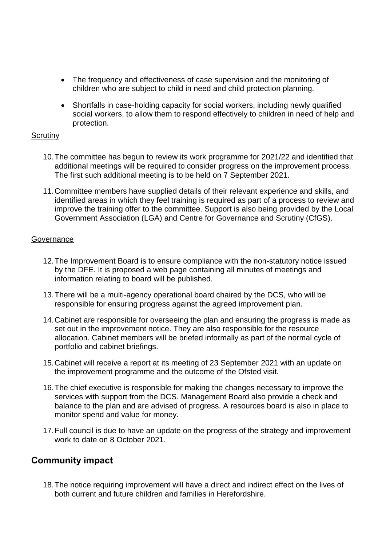- The frequency and effectiveness of case supervision and the monitoring of children who are subject to child in need and child protection planning.
- Shortfalls in case-holding capacity for social workers, including newly qualified social workers, to allow them to respond effectively to children in need of help and protection.

#### **Scrutiny**

- 10.The committee has begun to review its work programme for 2021/22 and identified that additional meetings will be required to consider progress on the improvement process. The first such additional meeting is to be held on 7 September 2021.
- 11.Committee members have supplied details of their relevant experience and skills, and identified areas in which they feel training is required as part of a process to review and improve the training offer to the committee. Support is also being provided by the Local Government Association (LGA) and Centre for Governance and Scrutiny (CfGS).

#### **Governance**

- 12.The Improvement Board is to ensure compliance with the non-statutory notice issued by the DFE. It is proposed a web page containing all minutes of meetings and information relating to board will be published.
- 13.There will be a multi-agency operational board chaired by the DCS, who will be responsible for ensuring progress against the agreed improvement plan.
- 14.Cabinet are responsible for overseeing the plan and ensuring the progress is made as set out in the improvement notice. They are also responsible for the resource allocation. Cabinet members will be briefed informally as part of the normal cycle of portfolio and cabinet briefings.
- 15.Cabinet will receive a report at its meeting of 23 September 2021 with an update on the improvement programme and the outcome of the Ofsted visit.
- 16.The chief executive is responsible for making the changes necessary to improve the services with support from the DCS. Management Board also provide a check and balance to the plan and are advised of progress. A resources board is also in place to monitor spend and value for money.
- 17.Full council is due to have an update on the progress of the strategy and improvement work to date on 8 October 2021.

## **Community impact**

18.The notice requiring improvement will have a direct and indirect effect on the lives of both current and future children and families in Herefordshire.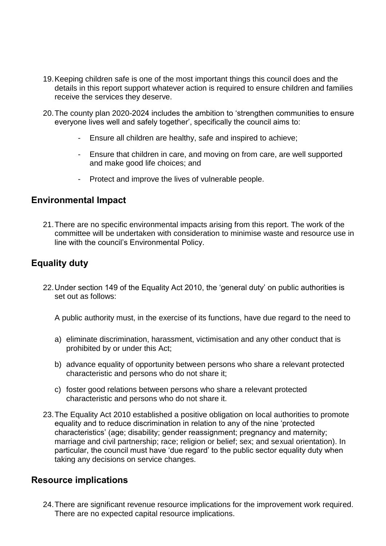- 19.Keeping children safe is one of the most important things this council does and the details in this report support whatever action is required to ensure children and families receive the services they deserve.
- 20.The county plan 2020-2024 includes the ambition to 'strengthen communities to ensure everyone lives well and safely together', specifically the council aims to:
	- Ensure all children are healthy, safe and inspired to achieve;
	- Ensure that children in care, and moving on from care, are well supported and make good life choices; and
	- Protect and improve the lives of vulnerable people.

## **Environmental Impact**

21.There are no specific environmental impacts arising from this report. The work of the committee will be undertaken with consideration to minimise waste and resource use in line with the council's Environmental Policy.

# **Equality duty**

22.Under section 149 of the Equality Act 2010, the 'general duty' on public authorities is set out as follows:

A public authority must, in the exercise of its functions, have due regard to the need to

- a) eliminate discrimination, harassment, victimisation and any other conduct that is prohibited by or under this Act;
- b) advance equality of opportunity between persons who share a relevant protected characteristic and persons who do not share it;
- c) foster good relations between persons who share a relevant protected characteristic and persons who do not share it.
- 23.The Equality Act 2010 established a positive obligation on local authorities to promote equality and to reduce discrimination in relation to any of the nine 'protected characteristics' (age; disability; gender reassignment; pregnancy and maternity; marriage and civil partnership; race; religion or belief; sex; and sexual orientation). In particular, the council must have 'due regard' to the public sector equality duty when taking any decisions on service changes.

## **Resource implications**

24.There are significant revenue resource implications for the improvement work required. There are no expected capital resource implications.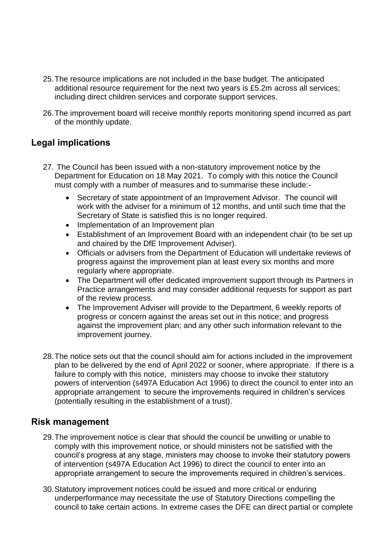- 25.The resource implications are not included in the base budget. The anticipated additional resource requirement for the next two years is £5.2m across all services; including direct children services and corporate support services.
- 26.The improvement board will receive monthly reports monitoring spend incurred as part of the monthly update.

# **Legal implications**

- 27. The Council has been issued with a non-statutory improvement notice by the Department for Education on 18 May 2021. To comply with this notice the Council must comply with a number of measures and to summarise these include:-
	- Secretary of state appointment of an Improvement Advisor. The council will work with the adviser for a minimum of 12 months, and until such time that the Secretary of State is satisfied this is no longer required.
	- Implementation of an Improvement plan
	- Establishment of an Improvement Board with an independent chair (to be set up and chaired by the DfE Improvement Adviser).
	- Officials or advisers from the Department of Education will undertake reviews of progress against the improvement plan at least every six months and more regularly where appropriate.
	- The Department will offer dedicated improvement support through its Partners in Practice arrangements and may consider additional requests for support as part of the review process.
	- The Improvement Adviser will provide to the Department, 6 weekly reports of progress or concern against the areas set out in this notice; and progress against the improvement plan; and any other such information relevant to the improvement journey.
- 28.The notice sets out that the council should aim for actions included in the improvement plan to be delivered by the end of April 2022 or sooner, where appropriate. If there is a failure to comply with this notice, ministers may choose to invoke their statutory powers of intervention (s497A Education Act 1996) to direct the council to enter into an appropriate arrangement to secure the improvements required in children's services (potentially resulting in the establishment of a trust).

## **Risk management**

- 29.The improvement notice is clear that should the council be unwilling or unable to comply with this improvement notice, or should ministers not be satisfied with the council's progress at any stage, ministers may choose to invoke their statutory powers of intervention (s497A Education Act 1996) to direct the council to enter into an appropriate arrangement to secure the improvements required in children's services.
- 30.Statutory improvement notices could be issued and more critical or enduring underperformance may necessitate the use of Statutory Directions compelling the council to take certain actions. In extreme cases the DFE can direct partial or complete